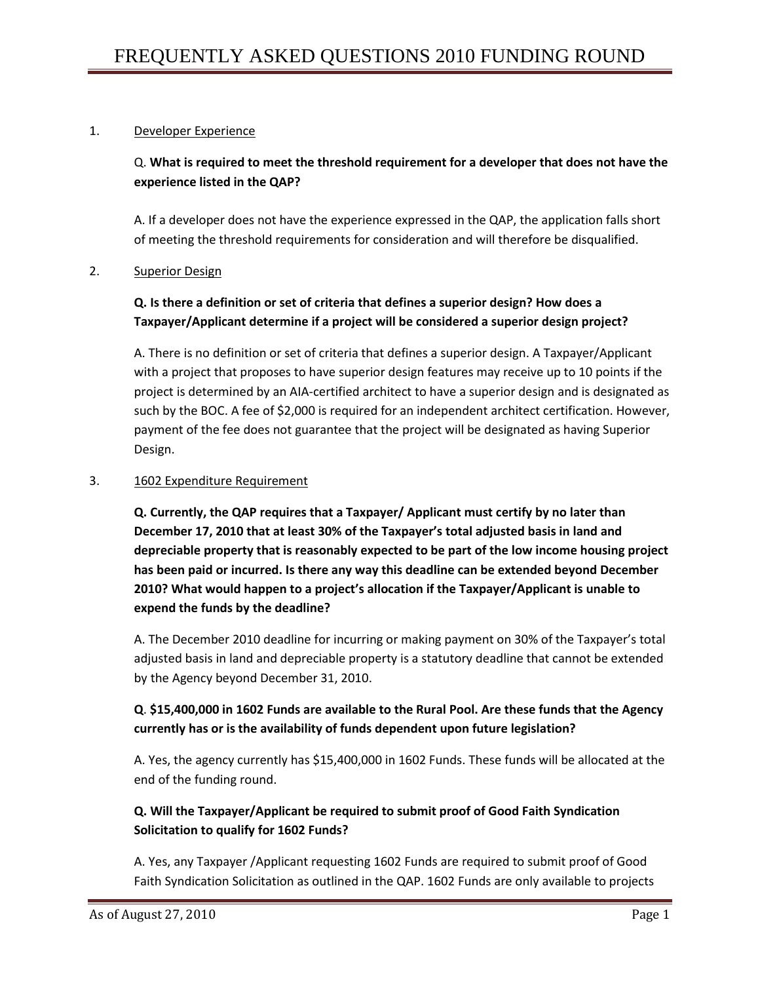## 1. Developer Experience

# Q. **What is required to meet the threshold requirement for a developer that does not have the experience listed in the QAP?**

A. If a developer does not have the experience expressed in the QAP, the application falls short of meeting the threshold requirements for consideration and will therefore be disqualified.

#### 2. Superior Design

## **Q. Is there a definition or set of criteria that defines a superior design? How does a Taxpayer/Applicant determine if a project will be considered a superior design project?**

A. There is no definition or set of criteria that defines a superior design. A Taxpayer/Applicant with a project that proposes to have superior design features may receive up to 10 points if the project is determined by an AIA-certified architect to have a superior design and is designated as such by the BOC. A fee of \$2,000 is required for an independent architect certification. However, payment of the fee does not guarantee that the project will be designated as having Superior Design.

#### 3. 1602 Expenditure Requirement

**Q. Currently, the QAP requires that a Taxpayer/ Applicant must certify by no later than December 17, 2010 that at least 30% of the Taxpayer's total adjusted basis in land and depreciable property that is reasonably expected to be part of the low income housing project has been paid or incurred. Is there any way this deadline can be extended beyond December 2010? What would happen to a project's allocation if the Taxpayer/Applicant is unable to expend the funds by the deadline?**

A. The December 2010 deadline for incurring or making payment on 30% of the Taxpayer's total adjusted basis in land and depreciable property is a statutory deadline that cannot be extended by the Agency beyond December 31, 2010.

# **Q**. **\$15,400,000 in 1602 Funds are available to the Rural Pool. Are these funds that the Agency currently has or is the availability of funds dependent upon future legislation?**

A. Yes, the agency currently has \$15,400,000 in 1602 Funds. These funds will be allocated at the end of the funding round.

# **Q. Will the Taxpayer/Applicant be required to submit proof of Good Faith Syndication Solicitation to qualify for 1602 Funds?**

A. Yes, any Taxpayer /Applicant requesting 1602 Funds are required to submit proof of Good Faith Syndication Solicitation as outlined in the QAP. 1602 Funds are only available to projects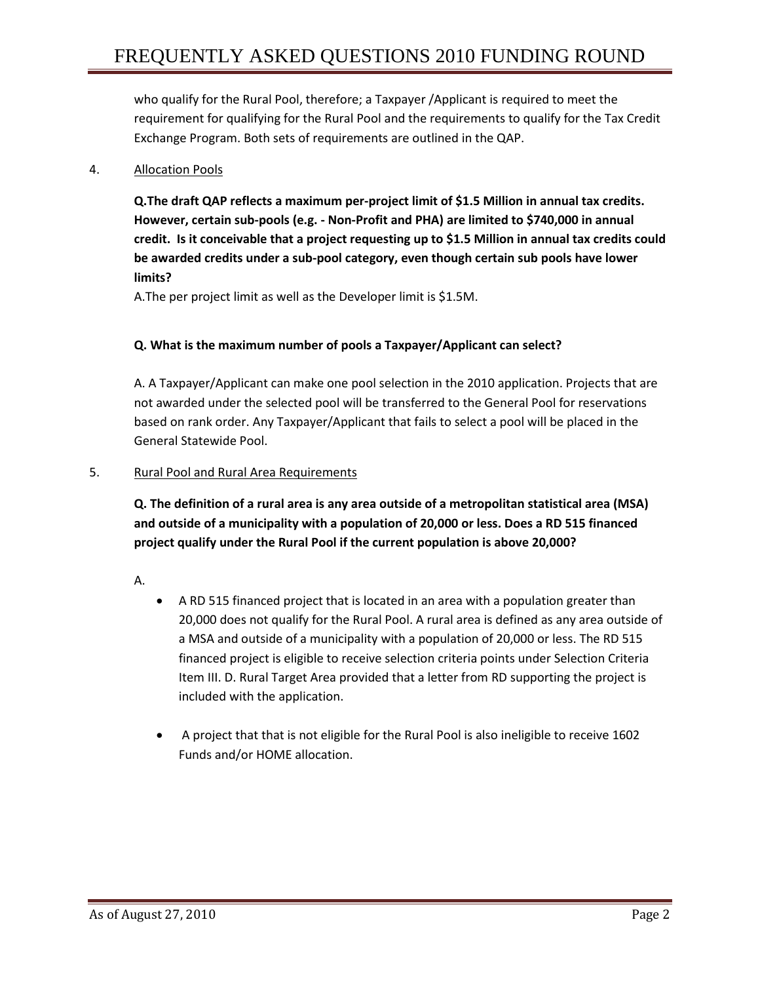who qualify for the Rural Pool, therefore; a Taxpayer /Applicant is required to meet the requirement for qualifying for the Rural Pool and the requirements to qualify for the Tax Credit Exchange Program. Both sets of requirements are outlined in the QAP.

## 4. Allocation Pools

**Q.The draft QAP reflects a maximum per-project limit of \$1.5 Million in annual tax credits. However, certain sub-pools (e.g. - Non-Profit and PHA) are limited to \$740,000 in annual credit. Is it conceivable that a project requesting up to \$1.5 Million in annual tax credits could be awarded credits under a sub-pool category, even though certain sub pools have lower limits?**

A.The per project limit as well as the Developer limit is \$1.5M.

## **Q. What is the maximum number of pools a Taxpayer/Applicant can select?**

A. A Taxpayer/Applicant can make one pool selection in the 2010 application. Projects that are not awarded under the selected pool will be transferred to the General Pool for reservations based on rank order. Any Taxpayer/Applicant that fails to select a pool will be placed in the General Statewide Pool.

## 5. Rural Pool and Rural Area Requirements

**Q. The definition of a rural area is any area outside of a metropolitan statistical area (MSA) and outside of a municipality with a population of 20,000 or less. Does a RD 515 financed project qualify under the Rural Pool if the current population is above 20,000?**

- A.
- A RD 515 financed project that is located in an area with a population greater than 20,000 does not qualify for the Rural Pool. A rural area is defined as any area outside of a MSA and outside of a municipality with a population of 20,000 or less. The RD 515 financed project is eligible to receive selection criteria points under Selection Criteria Item III. D. Rural Target Area provided that a letter from RD supporting the project is included with the application.
- A project that that is not eligible for the Rural Pool is also ineligible to receive 1602 Funds and/or HOME allocation.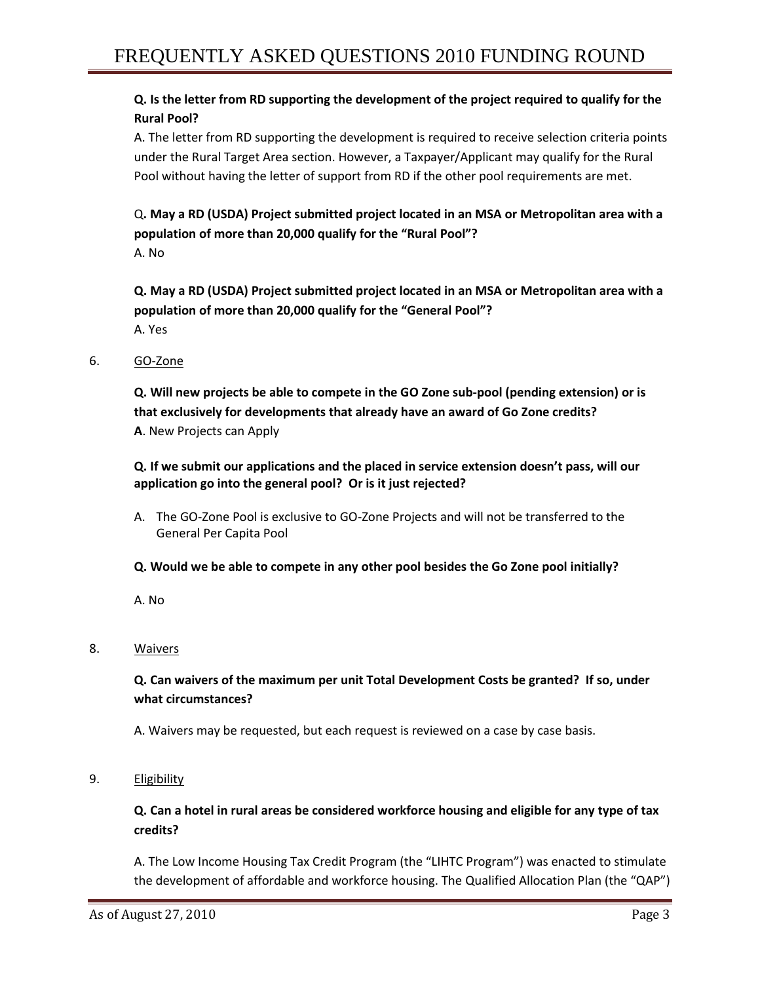## **Q. Is the letter from RD supporting the development of the project required to qualify for the Rural Pool?**

A. The letter from RD supporting the development is required to receive selection criteria points under the Rural Target Area section. However, a Taxpayer/Applicant may qualify for the Rural Pool without having the letter of support from RD if the other pool requirements are met.

# Q**. May a RD (USDA) Project submitted project located in an MSA or Metropolitan area with a population of more than 20,000 qualify for the "Rural Pool"?**

A. No

**Q. May a RD (USDA) Project submitted project located in an MSA or Metropolitan area with a population of more than 20,000 qualify for the "General Pool"?** A. Yes

6. GO-Zone

**Q. Will new projects be able to compete in the GO Zone sub-pool (pending extension) or is that exclusively for developments that already have an award of Go Zone credits? A**. New Projects can Apply

**Q. If we submit our applications and the placed in service extension doesn't pass, will our application go into the general pool? Or is it just rejected?**

- A. The GO-Zone Pool is exclusive to GO-Zone Projects and will not be transferred to the General Per Capita Pool
- **Q. Would we be able to compete in any other pool besides the Go Zone pool initially?**

A. No

## 8. Waivers

## **Q. Can waivers of the maximum per unit Total Development Costs be granted? If so, under what circumstances?**

A. Waivers may be requested, but each request is reviewed on a case by case basis.

9. Eligibility

# **Q. Can a hotel in rural areas be considered workforce housing and eligible for any type of tax credits?**

A. The Low Income Housing Tax Credit Program (the "LIHTC Program") was enacted to stimulate the development of affordable and workforce housing. The Qualified Allocation Plan (the "QAP")